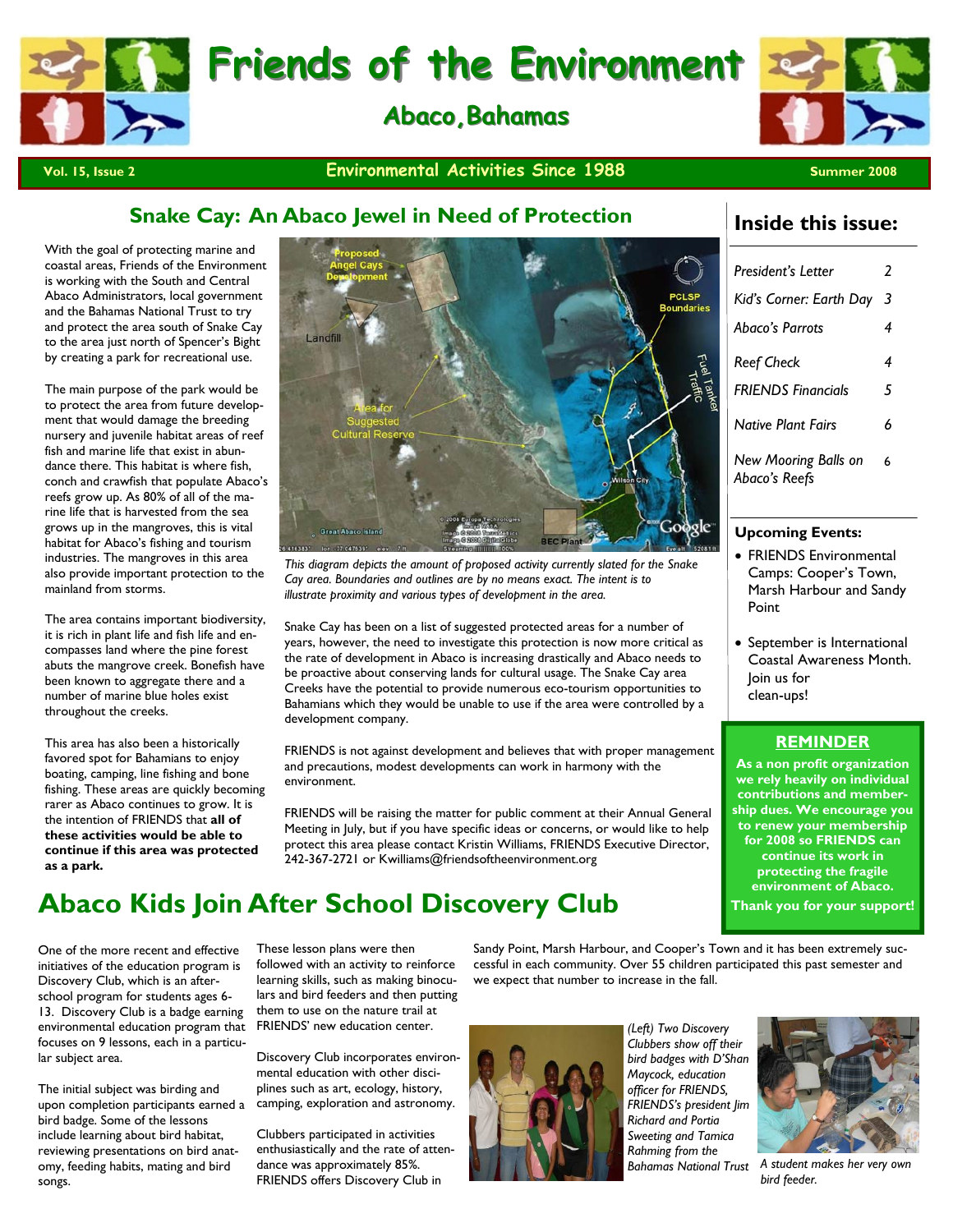



#### **Vol. 15, Issue 2** Summer 2008 **Environmental Activities Since 1988** Summer 2008

### **Snake Cay: An Abaco Jewel in Need of Protection**

With the goal of protecting marine and coastal areas, Friends of the Environment is working with the South and Central Abaco Administrators, local government and the Bahamas National Trust to try and protect the area south of Snake Cay to the area just north of Spencer's Bight by creating a park for recreational use.

The main purpose of the park would be to protect the area from future development that would damage the breeding nursery and juvenile habitat areas of reef fish and marine life that exist in abundance there. This habitat is where fish, conch and crawfish that populate Abaco's reefs grow up. As 80% of all of the marine life that is harvested from the sea grows up in the mangroves, this is vital habitat for Abaco's fishing and tourism industries. The mangroves in this area also provide important protection to the mainland from storms.

The area contains important biodiversity, it is rich in plant life and fish life and encompasses land where the pine forest abuts the mangrove creek. Bonefish have been known to aggregate there and a number of marine blue holes exist throughout the creeks.

This area has also been a historically favored spot for Bahamians to enjoy boating, camping, line fishing and bone fishing. These areas are quickly becoming rarer as Abaco continues to grow. It is the intention of FRIENDS that **all of these activities would be able to continue if this area was protected as a park.** 



*This diagram depicts the amount of proposed activity currently slated for the Snake Cay area. Boundaries and outlines are by no means exact. The intent is to illustrate proximity and various types of development in the area.* 

Snake Cay has been on a list of suggested protected areas for a number of years, however, the need to investigate this protection is now more critical as the rate of development in Abaco is increasing drastically and Abaco needs to be proactive about conserving lands for cultural usage. The Snake Cay area Creeks have the potential to provide numerous eco-tourism opportunities to Bahamians which they would be unable to use if the area were controlled by a development company.

FRIENDS is not against development and believes that with proper management and precautions, modest developments can work in harmony with the environment.

FRIENDS will be raising the matter for public comment at their Annual General Meeting in July, but if you have specific ideas or concerns, or would like to help protect this area please contact Kristin Williams, FRIENDS Executive Director, 242-367-2721 or Kwilliams@friendsoftheenvironment.org

### **Abaco Kids Join After School Discovery Club**

One of the more recent and effective initiatives of the education program is Discovery Club, which is an afterschool program for students ages 6- 13. Discovery Club is a badge earning environmental education program that focuses on 9 lessons, each in a particular subject area.

The initial subject was birding and upon completion participants earned a bird badge. Some of the lessons include learning about bird habitat, reviewing presentations on bird anatomy, feeding habits, mating and bird songs.

These lesson plans were then followed with an activity to reinforce learning skills, such as making binoculars and bird feeders and then putting them to use on the nature trail at FRIENDS' new education center.

Discovery Club incorporates environmental education with other disciplines such as art, ecology, history, camping, exploration and astronomy.

Clubbers participated in activities enthusiastically and the rate of attendance was approximately 85%. FRIENDS offers Discovery Club in

Sandy Point, Marsh Harbour, and Cooper's Town and it has been extremely successful in each community. Over 55 children participated this past semester and we expect that number to increase in the fall.



*(Left) Two Discovery Clubbers show off their bird badges with D'Shan Maycock, education officer for FRIENDS, FRIENDS's president Jim Richard and Portia Sweeting and Tamica Rahming from the Bahamas National Trust A student makes her very own* 



*bird feeder.* 

### **Inside this issue:**

| President's Letter                    | 2 |
|---------------------------------------|---|
| Kid's Corner: Earth Day               | 3 |
| Abaco's Parrots                       | 4 |
| <b>Reef Check</b>                     | 4 |
| <b>FRIENDS Financials</b>             | 5 |
| <b>Native Plant Fairs</b>             | 6 |
| New Mooring Balls on<br>Abaco's Reefs | 6 |

#### **Upcoming Events:**

- FRIENDS Environmental Camps: Cooper's Town, Marsh Harbour and Sandy Point
- September is International Coastal Awareness Month. Join us for clean-ups!

#### **REMINDER**

**As a non profit organization we rely heavily on individual contributions and membership dues. We encourage you to renew your membership for 2008 so FRIENDS can continue its work in protecting the fragile environment of Abaco. Thank you for your support!**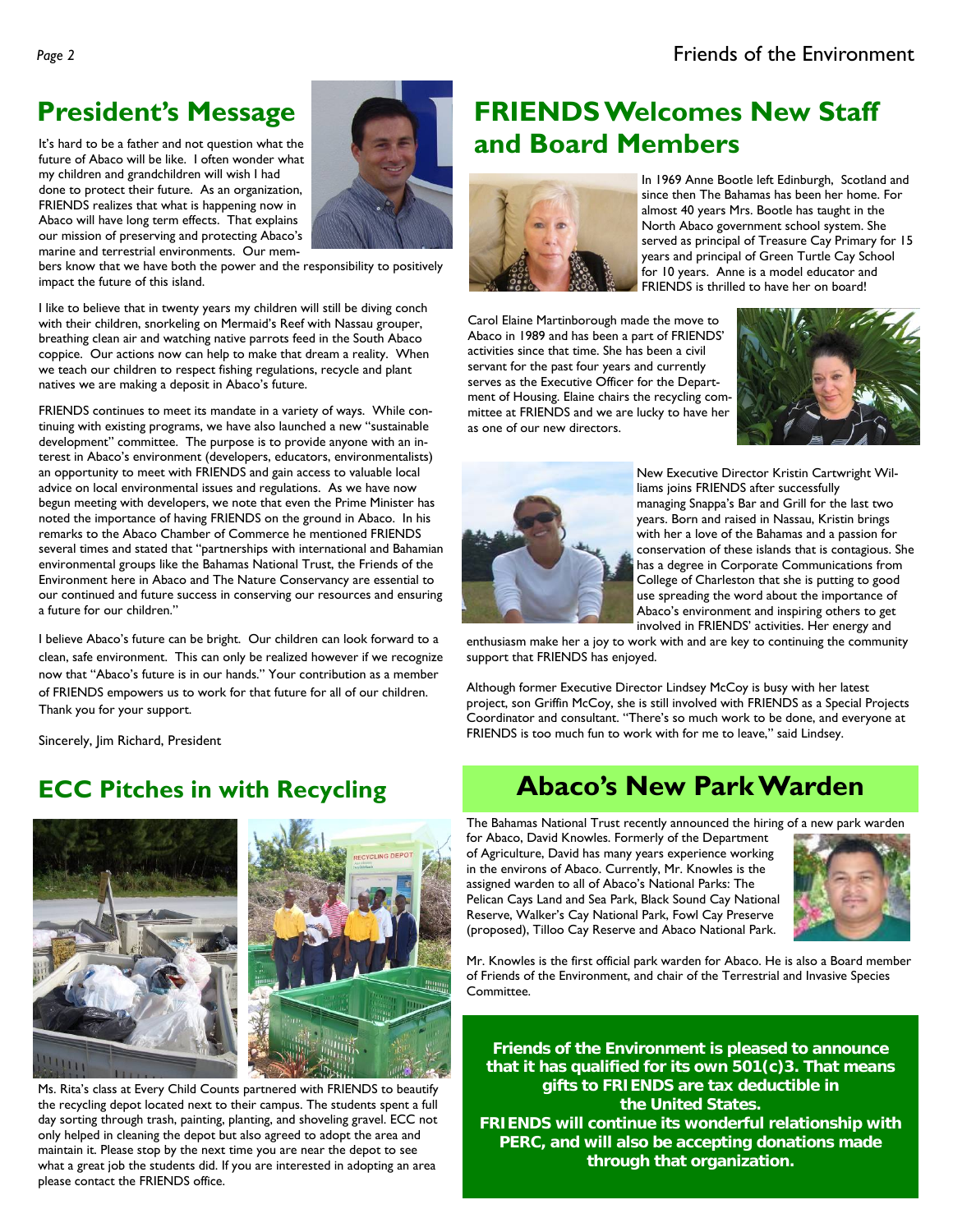future of Abaco will be like. I often wonder what my children and grandchildren will wish I had done to protect their future. As an organization, FRIENDS realizes that what is happening now in Abaco will have long term effects. That explains our mission of preserving and protecting Abaco's marine and terrestrial environments. Our mem-



bers know that we have both the power and the responsibility to positively impact the future of this island.

I like to believe that in twenty years my children will still be diving conch with their children, snorkeling on Mermaid's Reef with Nassau grouper, breathing clean air and watching native parrots feed in the South Abaco coppice. Our actions now can help to make that dream a reality. When we teach our children to respect fishing regulations, recycle and plant natives we are making a deposit in Abaco's future.

FRIENDS continues to meet its mandate in a variety of ways. While continuing with existing programs, we have also launched a new "sustainable development" committee. The purpose is to provide anyone with an interest in Abaco's environment (developers, educators, environmentalists) an opportunity to meet with FRIENDS and gain access to valuable local advice on local environmental issues and regulations. As we have now begun meeting with developers, we note that even the Prime Minister has noted the importance of having FRIENDS on the ground in Abaco. In his remarks to the Abaco Chamber of Commerce he mentioned FRIENDS several times and stated that "partnerships with international and Bahamian environmental groups like the Bahamas National Trust, the Friends of the Environment here in Abaco and The Nature Conservancy are essential to our continued and future success in conserving our resources and ensuring a future for our children."

I believe Abaco's future can be bright. Our children can look forward to a clean, safe environment. This can only be realized however if we recognize now that "Abaco's future is in our hands." Your contribution as a member of FRIENDS empowers us to work for that future for all of our children. Thank you for your support.

Sincerely, Jim Richard, President





Ms. Rita's class at Every Child Counts partnered with FRIENDS to beautify the recycling depot located next to their campus. The students spent a full day sorting through trash, painting, planting, and shoveling gravel. ECC not only helped in cleaning the depot but also agreed to adopt the area and maintain it. Please stop by the next time you are near the depot to see what a great job the students did. If you are interested in adopting an area please contact the FRIENDS office.

### **President's Message FRIENDS Welcomes New Staff** It's hard to be a father and not question what the **Integral of the line of and Board Members**



In 1969 Anne Bootle left Edinburgh, Scotland and since then The Bahamas has been her home. For almost 40 years Mrs. Bootle has taught in the North Abaco government school system. She served as principal of Treasure Cay Primary for 15 years and principal of Green Turtle Cay School for 10 years. Anne is a model educator and FRIENDS is thrilled to have her on board!

Carol Elaine Martinborough made the move to Abaco in 1989 and has been a part of FRIENDS' activities since that time. She has been a civil servant for the past four years and currently serves as the Executive Officer for the Department of Housing. Elaine chairs the recycling committee at FRIENDS and we are lucky to have her as one of our new directors.





New Executive Director Kristin Cartwright Williams joins FRIENDS after successfully managing Snappa's Bar and Grill for the last two years. Born and raised in Nassau, Kristin brings with her a love of the Bahamas and a passion for conservation of these islands that is contagious. She has a degree in Corporate Communications from College of Charleston that she is putting to good use spreading the word about the importance of Abaco's environment and inspiring others to get involved in FRIENDS' activities. Her energy and

enthusiasm make her a joy to work with and are key to continuing the community support that FRIENDS has enjoyed.

Although former Executive Director Lindsey McCoy is busy with her latest project, son Griffin McCoy, she is still involved with FRIENDS as a Special Projects Coordinator and consultant. "There's so much work to be done, and everyone at FRIENDS is too much fun to work with for me to leave," said Lindsey.

### **ECC Pitches in with Recycling Abaco's New Park Warden**

The Bahamas National Trust recently announced the hiring of a new park warden for Abaco, David Knowles. Formerly of the Department of Agriculture, David has many years experience working in the environs of Abaco. Currently, Mr. Knowles is the assigned warden to all of Abaco's National Parks: The Pelican Cays Land and Sea Park, Black Sound Cay National Reserve, Walker's Cay National Park, Fowl Cay Preserve (proposed), Tilloo Cay Reserve and Abaco National Park.



Mr. Knowles is the first official park warden for Abaco. He is also a Board member of Friends of the Environment, and chair of the Terrestrial and Invasive Species Committee.

**Friends of the Environment is pleased to announce that it has qualified for its own 501(c)3. That means gifts to FRIENDS are tax deductible in the United States. FRIENDS will continue its wonderful relationship with PERC, and will also be accepting donations made through that organization.**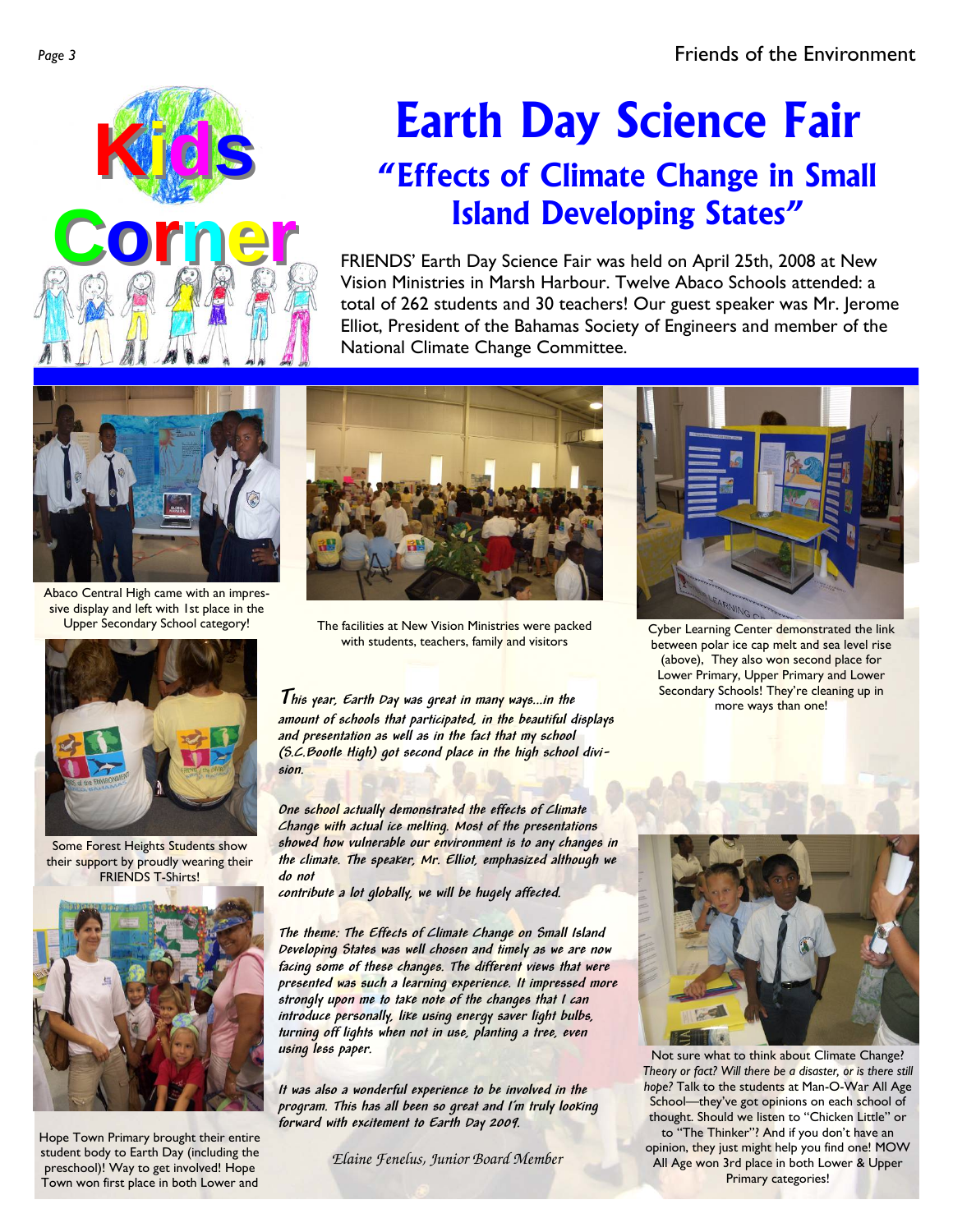

# **Earth Day Science Fair "Effects of Climate Change in Small Island Developing States"**

FRIENDS' Earth Day Science Fair was held on April 25th, 2008 at New Vision Ministries in Marsh Harbour. Twelve Abaco Schools attended: a total of 262 students and 30 teachers! Our guest speaker was Mr. Jerome Elliot, President of the Bahamas Society of Engineers and member of the National Climate Change Committee.



Abaco Central High came with an impressive display and left with 1st place in the



Some Forest Heights Students show their support by proudly wearing their FRIENDS T-Shirts!



Hope Town Primary brought their entire student body to Earth Day (including the preschool)! Way to get involved! Hope Town won first place in both Lower and



Upper Secondary School category! The facilities at New Vision Ministries were packed with students, teachers, family and visitors

**This year, Earth Day was great in many ways...in the amount of schools that participated, in the beautiful displays and presentation as well as in the fact that my school (S.C.Bootle High) got second place in the high school division.** 

**One school actually demonstrated the effects of Climate Change with actual ice melting. Most of the presentations showed how vulnerable our environment is to any changes in the climate. The speaker, Mr. Elliot, emphasized although we do not** 

**contribute a lot globally, we will be hugely affected.** 

**The theme: The Effects of Climate Change on Small Island Developing States was well chosen and timely as we are now facing some of these changes. The different views that were presented was such a learning experience. It impressed more strongly upon me to take note of the changes that I can introduce personally, like using energy saver light bulbs, turning off lights when not in use, planting a tree, even using less paper.** 

**It was also a wonderful experience to be involved in the program. This has all been so great and I'm truly looking forward with excitement to Earth Day 2009.** 

*Elaine Fenelus, Junior Board Member*



Cyber Learning Center demonstrated the link between polar ice cap melt and sea level rise (above), They also won second place for Lower Primary, Upper Primary and Lower Secondary Schools! They're cleaning up in more ways than one!



Not sure what to think about Climate Change? *Theory or fact? Will there be a disaster, or is there still hope?* Talk to the students at Man-O-War All Age School-they've got opinions on each school of thought. Should we listen to "Chicken Little" or to "The Thinker"? And if you don't have an opinion, they just might help you find one! MOW All Age won 3rd place in both Lower & Upper Primary categories!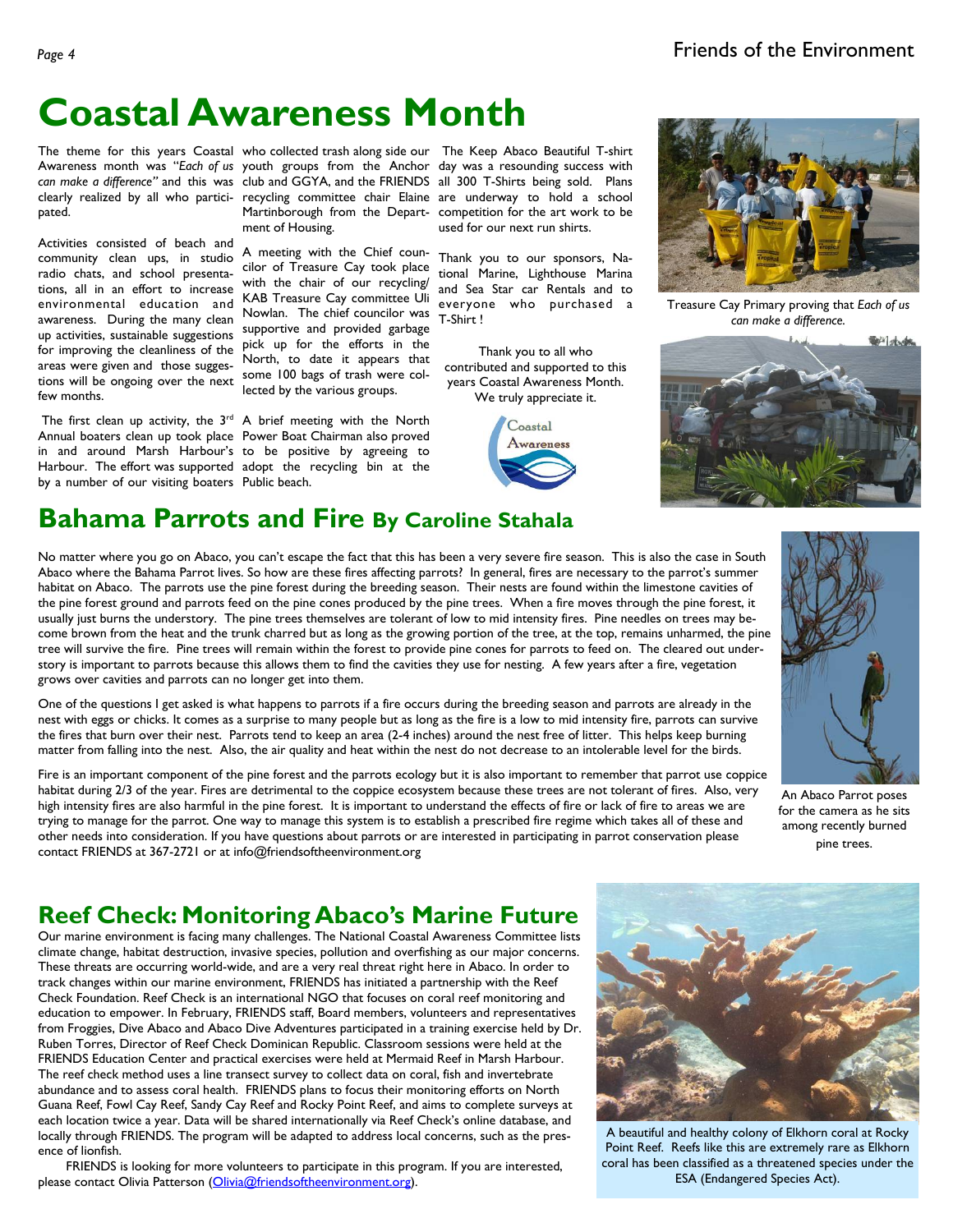## **Coastal Awareness Month**

pated.

Activities consisted of beach and community clean ups, in studio radio chats, and school presentations, all in an effort to increase environmental education and awareness. During the many clean up activities, sustainable suggestions supportive and provided garbage for improving the cleanliness of the areas were given and those suggestions will be ongoing over the next some 100 bags of trash were colfew months.

The first clean up activity, the  $3^{rd}$  A brief meeting with the North Annual boaters clean up took place Power Boat Chairman also proved in and around Marsh Harbour's to be positive by agreeing to Harbour. The effort was supported adopt the recycling bin at the by a number of our visiting boaters Public beach.

ment of Housing.

A meeting with the Chief councilor of Treasure Cay took place with the chair of our recycling/ KAB Treasure Cay committee Uli Nowlan. The chief councilor was pick up for the efforts in the North, to date it appears that lected by the various groups.

The theme for this years Coastal who collected trash along side our The Keep Abaco Beautiful T-shirt Awareness month was "Each of us youth groups from the Anchor day was a resounding success with can make a difference" and this was club and GGYA, and the FRIENDS all 300 T-Shirts being sold. Plans clearly realized by all who partici- recycling committee chair Elaine are underway to hold a school Martinborough from the Depart-competition for the art work to be used for our next run shirts.

> Thank you to our sponsors, National Marine, Lighthouse Marina and Sea Star car Rentals and to everyone who purchased a T-Shirt !

Thank you to all who contributed and supported to this years Coastal Awareness Month. We truly appreciate it.





Treasure Cay Primary proving that *Each of us can make a difference.* 



### **Bahama Parrots and Fire By Caroline Stahala**

No matter where you go on Abaco, you can't escape the fact that this has been a very severe fire season. This is also the case in South Abaco where the Bahama Parrot lives. So how are these fires affecting parrots? In general, fires are necessary to the parrot's summer habitat on Abaco. The parrots use the pine forest during the breeding season. Their nests are found within the limestone cavities of the pine forest ground and parrots feed on the pine cones produced by the pine trees. When a fire moves through the pine forest, it usually just burns the understory. The pine trees themselves are tolerant of low to mid intensity fires. Pine needles on trees may become brown from the heat and the trunk charred but as long as the growing portion of the tree, at the top, remains unharmed, the pine tree will survive the fire. Pine trees will remain within the forest to provide pine cones for parrots to feed on. The cleared out understory is important to parrots because this allows them to find the cavities they use for nesting. A few years after a fire, vegetation grows over cavities and parrots can no longer get into them.

One of the questions I get asked is what happens to parrots if a fire occurs during the breeding season and parrots are already in the nest with eggs or chicks. It comes as a surprise to many people but as long as the fire is a low to mid intensity fire, parrots can survive the fires that burn over their nest. Parrots tend to keep an area (2-4 inches) around the nest free of litter. This helps keep burning matter from falling into the nest. Also, the air quality and heat within the nest do not decrease to an intolerable level for the birds.

Fire is an important component of the pine forest and the parrots ecology but it is also important to remember that parrot use coppice habitat during 2/3 of the year. Fires are detrimental to the coppice ecosystem because these trees are not tolerant of fires. Also, very high intensity fires are also harmful in the pine forest. It is important to understand the effects of fire or lack of fire to areas we are trying to manage for the parrot. One way to manage this system is to establish a prescribed fire regime which takes all of these and other needs into consideration. If you have questions about parrots or are interested in participating in parrot conservation please contact FRIENDS at 367-2721 or at info@friendsoftheenvironment.org



An Abaco Parrot poses for the camera as he sits among recently burned pine trees.

### **Reef Check: Monitoring Abaco's Marine Future**

Our marine environment is facing many challenges. The National Coastal Awareness Committee lists climate change, habitat destruction, invasive species, pollution and overfishing as our major concerns. These threats are occurring world-wide, and are a very real threat right here in Abaco. In order to track changes within our marine environment, FRIENDS has initiated a partnership with the Reef Check Foundation. Reef Check is an international NGO that focuses on coral reef monitoring and education to empower. In February, FRIENDS staff, Board members, volunteers and representatives from Froggies, Dive Abaco and Abaco Dive Adventures participated in a training exercise held by Dr. Ruben Torres, Director of Reef Check Dominican Republic. Classroom sessions were held at the FRIENDS Education Center and practical exercises were held at Mermaid Reef in Marsh Harbour. The reef check method uses a line transect survey to collect data on coral, fish and invertebrate abundance and to assess coral health. FRIENDS plans to focus their monitoring efforts on North Guana Reef, Fowl Cay Reef, Sandy Cay Reef and Rocky Point Reef, and aims to complete surveys at each location twice a year. Data will be shared internationally via Reef Check's online database, and locally through FRIENDS. The program will be adapted to address local concerns, such as the presence of lionfish.

 FRIENDS is looking for more volunteers to participate in this program. If you are interested, please contact Olivia Patterson (Olivia@friendsoftheenvironment.org).



A beautiful and healthy colony of Elkhorn coral at Rocky Point Reef. Reefs like this are extremely rare as Elkhorn coral has been classified as a threatened species under the ESA (Endangered Species Act).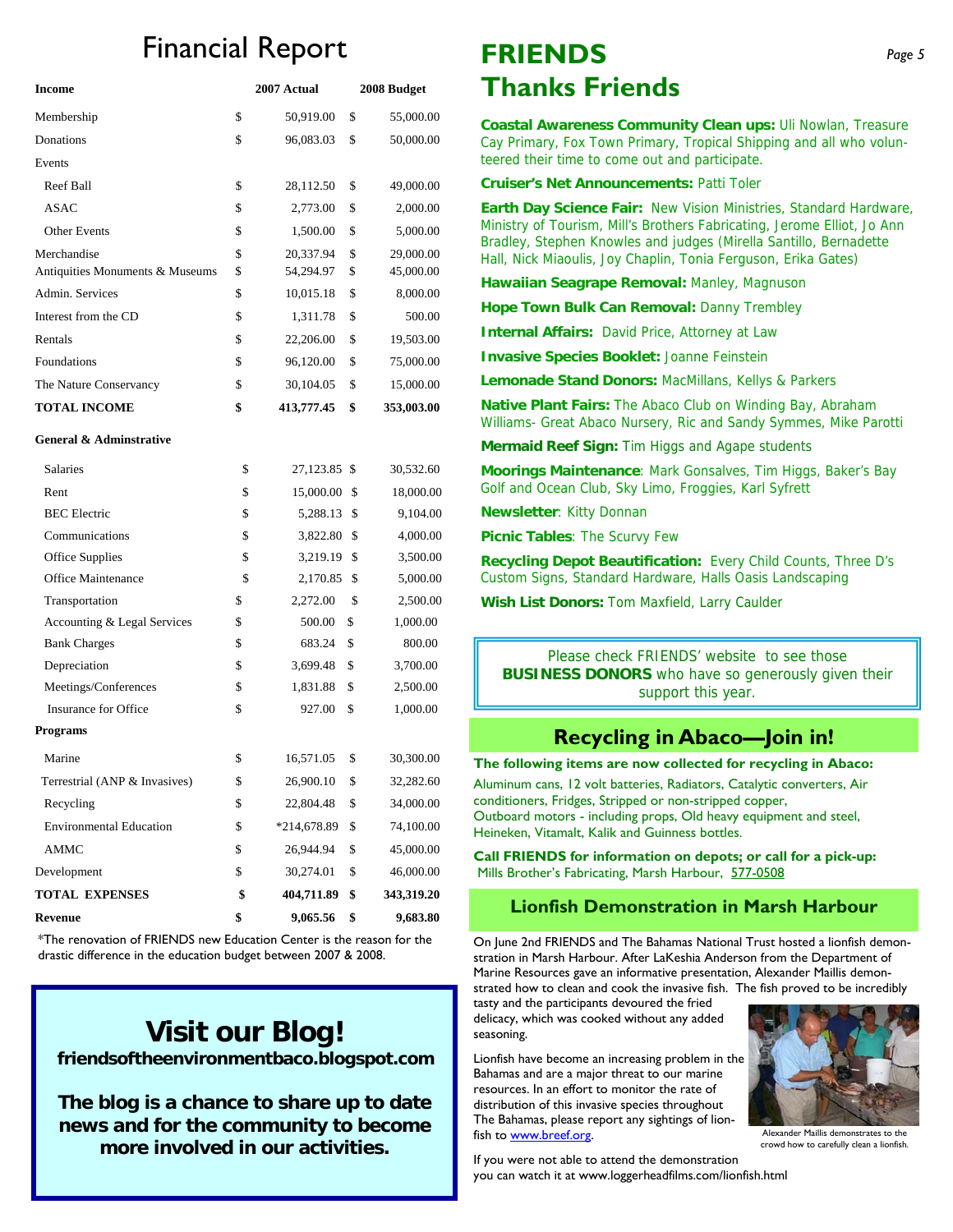## Financial Report

| <b>Income</b>                   | 2007 Actual      | 2008 Budget      |
|---------------------------------|------------------|------------------|
| Membership                      | \$<br>50,919.00  | \$<br>55,000.00  |
| Donations                       | \$<br>96,083.03  | \$<br>50,000.00  |
| Events                          |                  |                  |
| Reef Ball                       | \$<br>28,112.50  | \$<br>49,000.00  |
| ASAC                            | \$<br>2,773.00   | \$<br>2,000.00   |
| <b>Other Events</b>             | \$<br>1,500.00   | \$<br>5,000.00   |
| Merchandise                     | \$<br>20,337.94  | \$<br>29,000.00  |
| Antiquities Monuments & Museums | \$<br>54,294.97  | \$<br>45,000.00  |
| Admin. Services                 | \$<br>10,015.18  | \$<br>8,000.00   |
| Interest from the CD            | \$<br>1,311.78   | \$<br>500.00     |
| Rentals                         | \$<br>22,206.00  | \$<br>19,503.00  |
| Foundations                     | \$<br>96,120.00  | \$<br>75,000.00  |
| The Nature Conservancy          | \$<br>30,104.05  | \$<br>15,000.00  |
| <b>TOTAL INCOME</b>             | \$<br>413,777.45 | \$<br>353,003.00 |

#### **General & Adminstrative**

| <b>Revenue</b>                 | \$<br>9,065.56     | \$<br>9,683.80   |
|--------------------------------|--------------------|------------------|
| <b>TOTAL EXPENSES</b>          | \$<br>404,711.89   | \$<br>343,319.20 |
| Development                    | \$<br>30,274.01    | \$<br>46,000.00  |
| <b>AMMC</b>                    | \$<br>26,944.94    | \$<br>45,000.00  |
| <b>Environmental Education</b> | \$<br>*214,678.89  | \$<br>74,100.00  |
| Recycling                      | \$<br>22,804.48    | \$<br>34,000.00  |
| Terrestrial (ANP & Invasives)  | \$<br>26,900.10    | \$<br>32,282.60  |
| Marine                         | \$<br>16,571.05    | \$<br>30,300.00  |
| Programs                       |                    |                  |
| <b>Insurance for Office</b>    | \$<br>927.00       | \$<br>1,000.00   |
| Meetings/Conferences           | \$<br>1,831.88     | \$<br>2,500.00   |
| Depreciation                   | \$<br>3,699.48     | \$<br>3,700.00   |
| <b>Bank Charges</b>            | \$<br>683.24       | \$<br>800.00     |
| Accounting & Legal Services    | \$<br>500.00       | \$<br>1,000.00   |
| Transportation                 | \$<br>2,272.00     | \$<br>2,500.00   |
| Office Maintenance             | \$<br>2,170.85     | \$<br>5,000.00   |
| Office Supplies                | \$<br>3,219.19     | \$<br>3,500.00   |
| Communications                 | \$<br>3,822.80     | \$<br>4,000.00   |
| <b>BEC</b> Electric            | \$<br>5,288.13     | \$<br>9,104.00   |
| Rent                           | \$<br>15,000.00    | \$<br>18,000.00  |
| <b>Salaries</b>                | \$<br>27,123.85 \$ | 30,532.60        |

\*The renovation of FRIENDS new Education Center is the reason for the drastic difference in the education budget between 2007 & 2008.

### **Visit our Blog!**

 **friendsoftheenvironmentbaco.blogspot.com** 

**The blog is a chance to share up to date news and for the community to become more involved in our activities.**

### **FRIENDS Thanks Friends**

**Coastal Awareness Community Clean ups:** Uli Nowlan, Treasure Cay Primary, Fox Town Primary, Tropical Shipping and all who volunteered their time to come out and participate.

**Cruiser's Net Announcements:** Patti Toler

**Earth Day Science Fair:** New Vision Ministries, Standard Hardware, Ministry of Tourism, Mill's Brothers Fabricating, Jerome Elliot, Jo Ann Bradley, Stephen Knowles and judges (Mirella Santillo, Bernadette Hall, Nick Miaoulis, Joy Chaplin, Tonia Ferguson, Erika Gates)

Hawaiian Seagrape Removal: Manley, Magnuson

**Hope Town Bulk Can Removal: Danny Trembley** 

**Internal Affairs:** David Price, Attorney at Law

**Invasive Species Booklet:** Joanne Feinstein

**Lemonade Stand Donors:** MacMillans, Kellys & Parkers

**Native Plant Fairs:** The Abaco Club on Winding Bay, Abraham Williams- Great Abaco Nursery, Ric and Sandy Symmes, Mike Parotti

**Mermaid Reef Sign:** Tim Higgs and Agape students

**Moorings Maintenance**: Mark Gonsalves, Tim Higgs, Baker's Bay Golf and Ocean Club, Sky Limo, Froggies, Karl Syfrett

**Newsletter**: Kitty Donnan

**Picnic Tables**: The Scurvy Few

**Recycling Depot Beautification:** Every Child Counts, Three D's Custom Signs, Standard Hardware, Halls Oasis Landscaping

**Wish List Donors:** Tom Maxfield, Larry Caulder

Please check FRIENDS' website to see those **BUSINESS DONORS** who have so generously given their support this year.

### **Recycling in Abaco—Join in!**

**The following items are now collected for recycling in Abaco:** 

Aluminum cans, 12 volt batteries, Radiators, Catalytic converters, Air conditioners, Fridges, Stripped or non-stripped copper, Outboard motors - including props, Old heavy equipment and steel, Heineken, Vitamalt, Kalik and Guinness bottles.

**Call FRIENDS for information on depots; or call for a pick-up:**  Mills Brother's Fabricating, Marsh Harbour, 577-0508

#### **Lionfish Demonstration in Marsh Harbour**

On June 2nd FRIENDS and The Bahamas National Trust hosted a lionfish demonstration in Marsh Harbour. After LaKeshia Anderson from the Department of Marine Resources gave an informative presentation, Alexander Maillis demonstrated how to clean and cook the invasive fish. The fish proved to be incredibly

tasty and the participants devoured the fried delicacy, which was cooked without any added seasoning.

Lionfish have become an increasing problem in the Bahamas and are a major threat to our marine resources. In an effort to monitor the rate of distribution of this invasive species throughout The Bahamas, please report any sightings of lionfish to www.breef.org.

Alexander Maillis demonstrates to the crowd how to carefully clean a lionfish.

If you were not able to attend the demonstration you can watch it at www.loggerheadfilms.com/lionfish.html